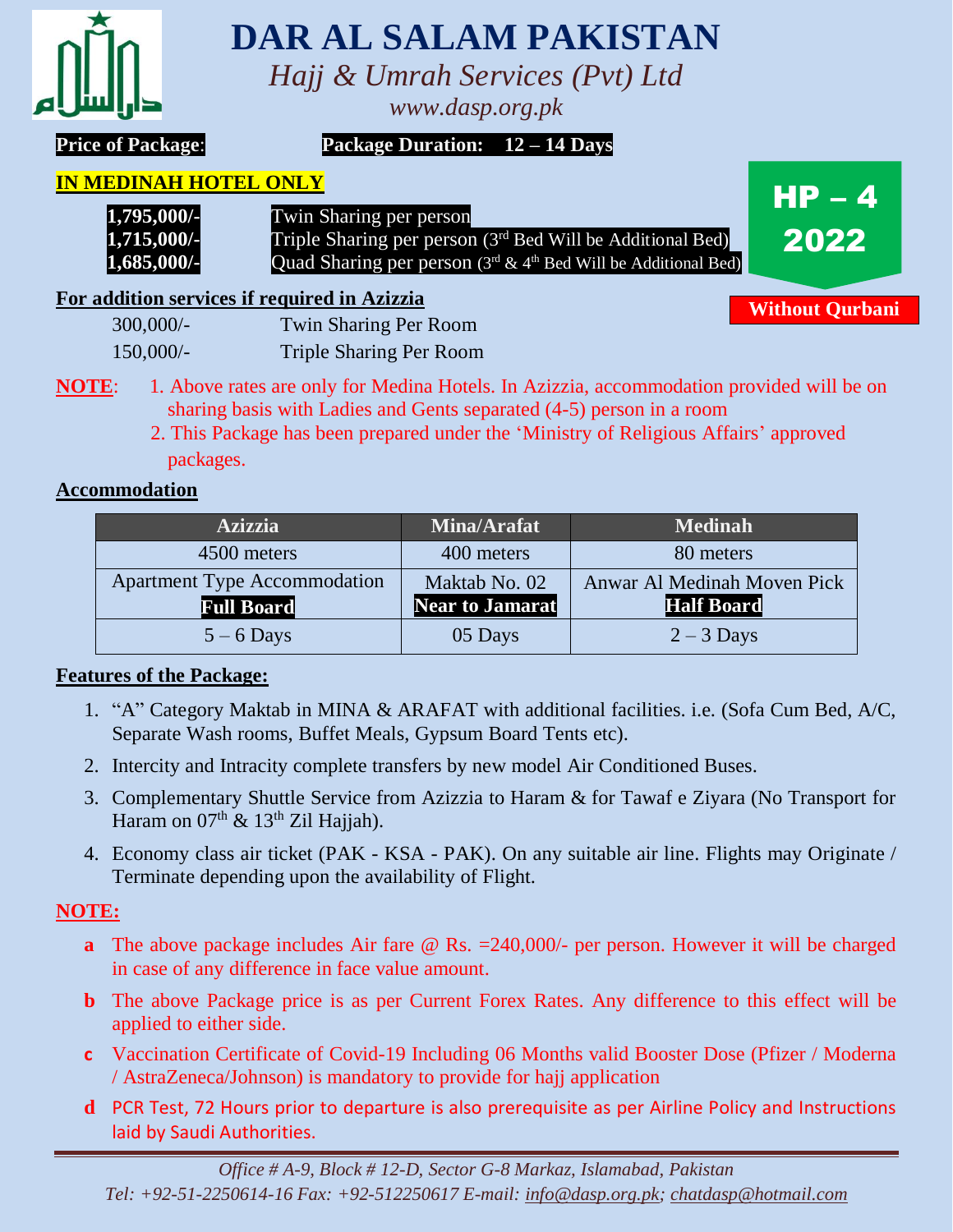

# **DAR AL SALAM PAKISTAN**

*Hajj & Umrah Services (Pvt) Ltd*

*www.dasp.org.pk*

**Price of Package**: **Package Duration: 12 – 14 Days**

#### **IN MEDINAH HOTEL ONLY**

 **1,795,000/-** Twin Sharing per person **1,715,000/-** Triple Sharing per person (3<sup>rd</sup> Bed Will be Additional Bed) **1,685,000/-** Quad Sharing per person (3<sup>rd</sup> & 4<sup>th</sup> Bed Will be Additional Bed)

**For addition services if required in Azizzia**

| $300,000/$ - | <b>Twin Sharing Per Room</b>   |
|--------------|--------------------------------|
| 150,000/     | <b>Triple Sharing Per Room</b> |

- **NOTE:** 1. Above rates are only for Medina Hotels. In Azizzia, accommodation provided will be on sharing basis with Ladies and Gents separated (4-5) person in a room
	- 2. This Package has been prepared under the 'Ministry of Religious Affairs' approved packages.

## **Accommodation**

| <b>Azizzia</b>                      | <b>Mina/Arafat</b> | <b>Medinah</b>              |
|-------------------------------------|--------------------|-----------------------------|
| 4500 meters                         | 400 meters         | 80 meters                   |
| <b>Apartment Type Accommodation</b> | Maktab No. 02      | Anwar Al Medinah Moven Pick |
| <b>Full Board</b>                   | Near to Jamarat    | <b>Half Board</b>           |
| $5 - 6$ Days                        | 05 Days            | $2 - 3$ Days                |

### **Features of the Package:**

- 1. "A" Category Maktab in MINA & ARAFAT with additional facilities. i.e. (Sofa Cum Bed, A/C, Separate Wash rooms, Buffet Meals, Gypsum Board Tents etc).
- 2. Intercity and Intracity complete transfers by new model Air Conditioned Buses.
- 3. Complementary Shuttle Service from Azizzia to Haram & for Tawaf e Ziyara (No Transport for Haram on  $07<sup>th</sup>$  & 13<sup>th</sup> Zil Hajjah).
- 4. Economy class air ticket (PAK KSA PAK). On any suitable air line. Flights may Originate / Terminate depending upon the availability of Flight.

## **NOTE:**

- **a** The above package includes Air fare @ Rs. = 240,000/- per person. However it will be charged in case of any difference in face value amount.
- **b** The above Package price is as per Current Forex Rates. Any difference to this effect will be applied to either side.
- **c** Vaccination Certificate of Covid-19 Including 06 Months valid Booster Dose (Pfizer / Moderna / AstraZeneca/Johnson) is mandatory to provide for hajj application
- **d** PCR Test, 72 Hours prior to departure is also prerequisite as per Airline Policy and Instructions laid by Saudi Authorities.

**Without Qurbani**

 $HP - 4$ 

2022